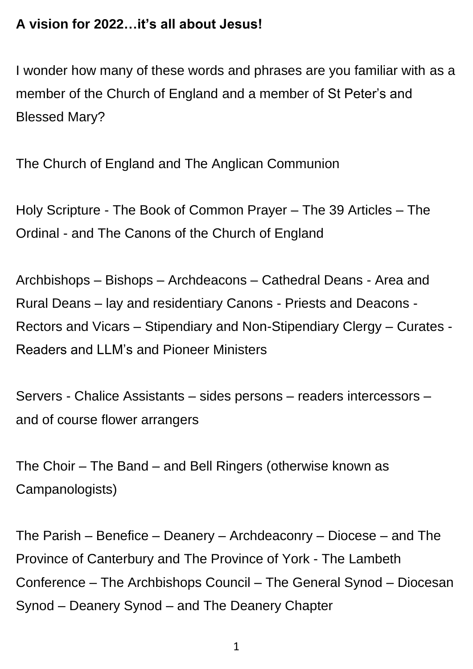### **A vision for 2022…it's all about Jesus!**

I wonder how many of these words and phrases are you familiar with as a member of the Church of England and a member of St Peter's and Blessed Mary?

The Church of England and The Anglican Communion

Holy Scripture - The Book of Common Prayer – The 39 Articles – The Ordinal - and The Canons of the Church of England

Archbishops – Bishops – Archdeacons – Cathedral Deans - Area and Rural Deans – lay and residentiary Canons - Priests and Deacons - Rectors and Vicars – Stipendiary and Non-Stipendiary Clergy – Curates - Readers and LLM's and Pioneer Ministers

Servers - Chalice Assistants – sides persons – readers intercessors – and of course flower arrangers

The Choir – The Band – and Bell Ringers (otherwise known as Campanologists)

The Parish – Benefice – Deanery – Archdeaconry – Diocese – and The Province of Canterbury and The Province of York - The Lambeth Conference – The Archbishops Council – The General Synod – Diocesan Synod – Deanery Synod – and The Deanery Chapter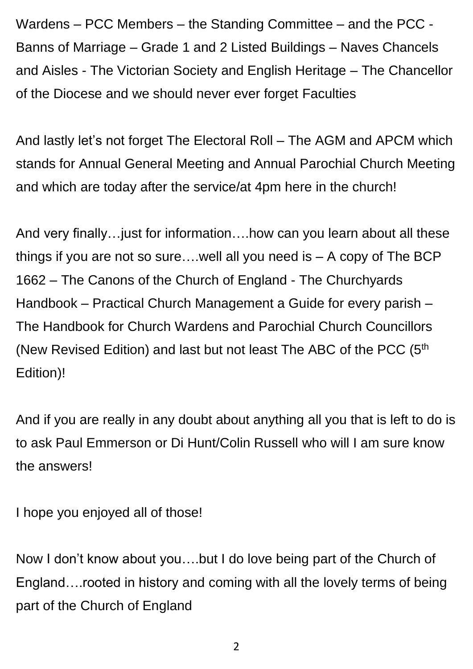Wardens – PCC Members – the Standing Committee – and the PCC - Banns of Marriage – Grade 1 and 2 Listed Buildings – Naves Chancels and Aisles - The Victorian Society and English Heritage – The Chancellor of the Diocese and we should never ever forget Faculties

And lastly let's not forget The Electoral Roll – The AGM and APCM which stands for Annual General Meeting and Annual Parochial Church Meeting and which are today after the service/at 4pm here in the church!

And very finally…just for information….how can you learn about all these things if you are not so sure….well all you need is – A copy of The BCP 1662 – The Canons of the Church of England - The Churchyards Handbook – Practical Church Management a Guide for every parish – The Handbook for Church Wardens and Parochial Church Councillors (New Revised Edition) and last but not least The ABC of the PCC (5<sup>th</sup> Edition)!

And if you are really in any doubt about anything all you that is left to do is to ask Paul Emmerson or Di Hunt/Colin Russell who will I am sure know the answers!

I hope you enjoyed all of those!

Now I don't know about you….but I do love being part of the Church of England….rooted in history and coming with all the lovely terms of being part of the Church of England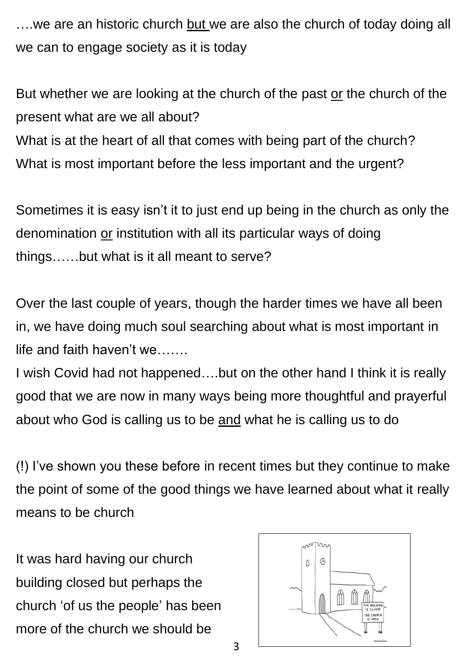….we are an historic church but we are also the church of today doing all we can to engage society as it is today

But whether we are looking at the church of the past or the church of the present what are we all about?

What is at the heart of all that comes with being part of the church? What is most important before the less important and the urgent?

Sometimes it is easy isn't it to just end up being in the church as only the denomination or institution with all its particular ways of doing things……but what is it all meant to serve?

Over the last couple of years, though the harder times we have all been in, we have doing much soul searching about what is most important in life and faith haven't we…….

I wish Covid had not happened….but on the other hand I think it is really good that we are now in many ways being more thoughtful and prayerful about who God is calling us to be and what he is calling us to do

(!) I've shown you these before in recent times but they continue to make the point of some of the good things we have learned about what it really means to be church

It was hard having our church building closed but perhaps the church 'of us the people' has been more of the church we should be



3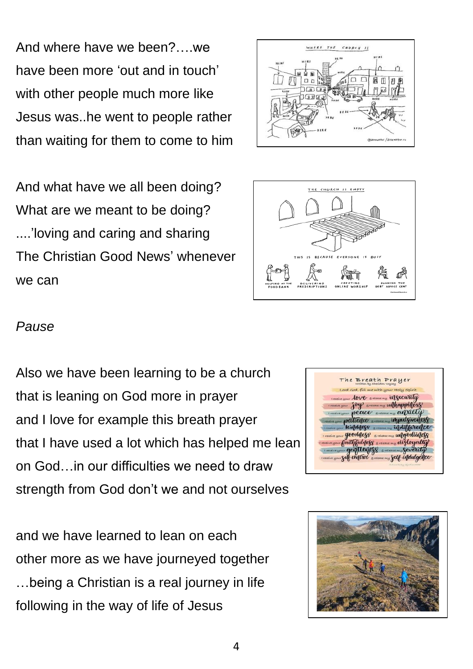And where have we been?….we have been more 'out and in touch' with other people much more like Jesus was..he went to people rather than waiting for them to come to him

And what have we all been doing? What are we meant to be doing? ....'loving and caring and sharing The Christian Good News' whenever we can





#### *Pause*

Also we have been learning to be a church that is leaning on God more in prayer and I love for example this breath prayer that I have used a lot which has helped me lean on God…in our difficulties we need to draw strength from God don't we and not ourselves

and we have learned to lean on each other more as we have journeyed together …being a Christian is a real journey in life following in the way of life of Jesus



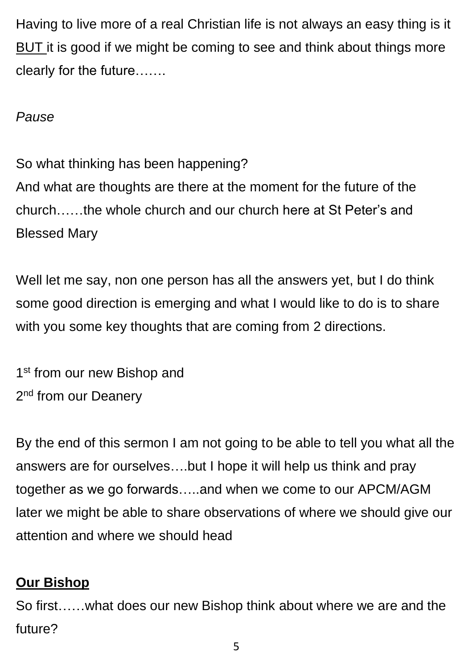Having to live more of a real Christian life is not always an easy thing is it BUT it is good if we might be coming to see and think about things more clearly for the future…….

## *Pause*

So what thinking has been happening? And what are thoughts are there at the moment for the future of the church……the whole church and our church here at St Peter's and Blessed Mary

Well let me say, non one person has all the answers yet, but I do think some good direction is emerging and what I would like to do is to share with you some key thoughts that are coming from 2 directions.

1<sup>st</sup> from our new Bishop and 2<sup>nd</sup> from our Deanery

By the end of this sermon I am not going to be able to tell you what all the answers are for ourselves….but I hope it will help us think and pray together as we go forwards…..and when we come to our APCM/AGM later we might be able to share observations of where we should give our attention and where we should head

## **Our Bishop**

So first……what does our new Bishop think about where we are and the future?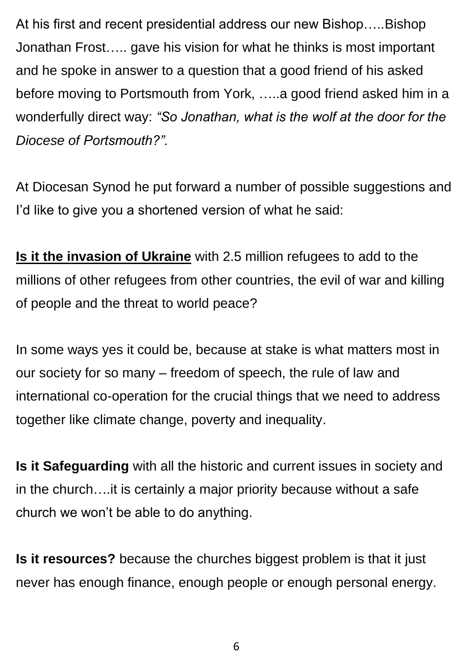At his first and recent presidential address our new Bishop…..Bishop Jonathan Frost….. gave his vision for what he thinks is most important and he spoke in answer to a question that a good friend of his asked before moving to Portsmouth from York, …..a good friend asked him in a wonderfully direct way: *"So Jonathan, what is the wolf at the door for the Diocese of Portsmouth?".*

At Diocesan Synod he put forward a number of possible suggestions and I'd like to give you a shortened version of what he said:

**Is it the invasion of Ukraine** with 2.5 million refugees to add to the millions of other refugees from other countries, the evil of war and killing of people and the threat to world peace?

In some ways yes it could be, because at stake is what matters most in our society for so many – freedom of speech, the rule of law and international co-operation for the crucial things that we need to address together like climate change, poverty and inequality.

**Is it Safeguarding** with all the historic and current issues in society and in the church….it is certainly a major priority because without a safe church we won't be able to do anything.

**Is it resources?** because the churches biggest problem is that it just never has enough finance, enough people or enough personal energy.

6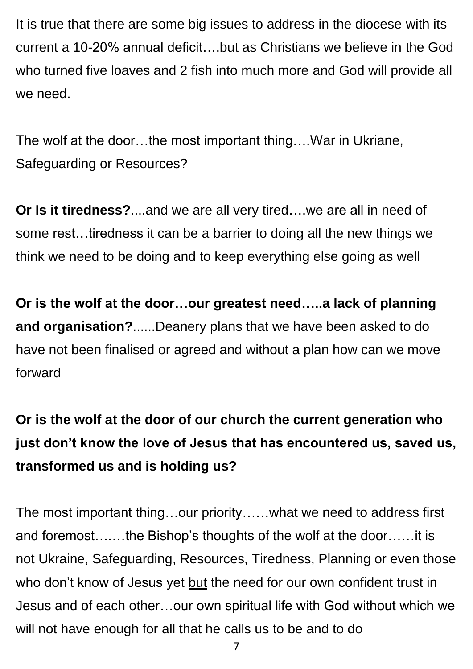It is true that there are some big issues to address in the diocese with its current a 10-20% annual deficit….but as Christians we believe in the God who turned five loaves and 2 fish into much more and God will provide all we need.

The wolf at the door…the most important thing….War in Ukriane, Safeguarding or Resources?

**Or Is it tiredness?**....and we are all very tired….we are all in need of some rest…tiredness it can be a barrier to doing all the new things we think we need to be doing and to keep everything else going as well

**Or is the wolf at the door…our greatest need…..a lack of planning and organisation?**......Deanery plans that we have been asked to do have not been finalised or agreed and without a plan how can we move forward

# **Or is the wolf at the door of our church the current generation who just don't know the love of Jesus that has encountered us, saved us, transformed us and is holding us?**

The most important thing…our priority……what we need to address first and foremost….…the Bishop's thoughts of the wolf at the door……it is not Ukraine, Safeguarding, Resources, Tiredness, Planning or even those who don't know of Jesus yet but the need for our own confident trust in Jesus and of each other…our own spiritual life with God without which we will not have enough for all that he calls us to be and to do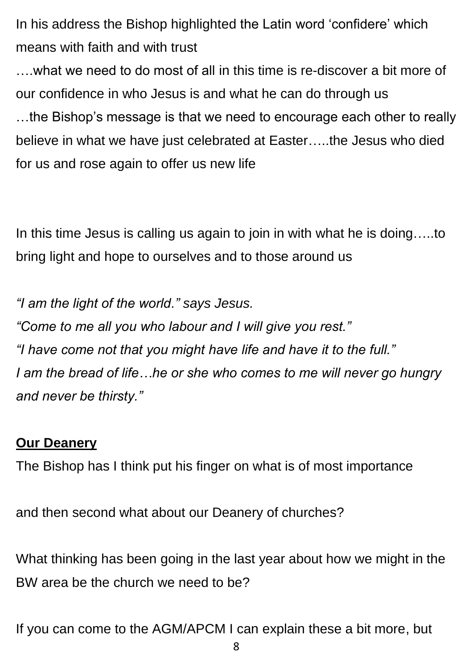In his address the Bishop highlighted the Latin word 'confidere' which means with faith and with trust

….what we need to do most of all in this time is re-discover a bit more of our confidence in who Jesus is and what he can do through us …the Bishop's message is that we need to encourage each other to really believe in what we have just celebrated at Easter…..the Jesus who died for us and rose again to offer us new life

In this time Jesus is calling us again to join in with what he is doing…..to bring light and hope to ourselves and to those around us

*"I am the light of the world." says Jesus. "Come to me all you who labour and I will give you rest." "I have come not that you might have life and have it to the full." I am the bread of life…he or she who comes to me will never go hungry and never be thirsty."*

## **Our Deanery**

The Bishop has I think put his finger on what is of most importance

and then second what about our Deanery of churches?

What thinking has been going in the last year about how we might in the BW area be the church we need to be?

If you can come to the AGM/APCM I can explain these a bit more, but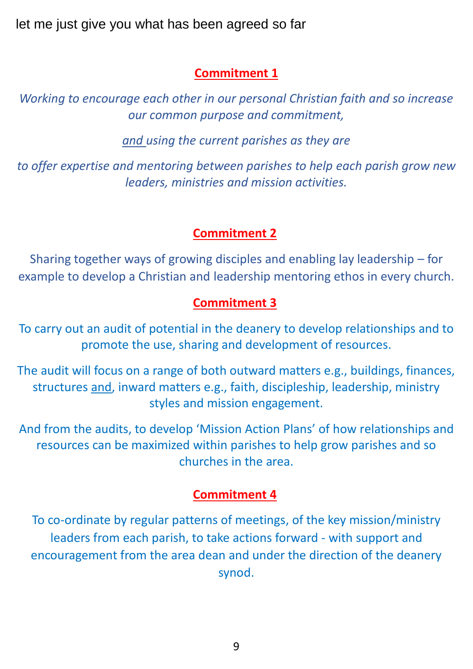let me just give you what has been agreed so far

#### **Commitment 1**

*Working to encourage each other in our personal Christian faith and so increase our common purpose and commitment,*

*and using the current parishes as they are*

*to offer expertise and mentoring between parishes to help each parish grow new leaders, ministries and mission activities.*

#### **Commitment 2**

Sharing together ways of growing disciples and enabling lay leadership – for example to develop a Christian and leadership mentoring ethos in every church.

#### **Commitment 3**

To carry out an audit of potential in the deanery to develop relationships and to promote the use, sharing and development of resources.

The audit will focus on a range of both outward matters e.g., buildings, finances, structures and, inward matters e.g., faith, discipleship, leadership, ministry styles and mission engagement.

And from the audits, to develop 'Mission Action Plans' of how relationships and resources can be maximized within parishes to help grow parishes and so churches in the area.

#### **Commitment 4**

To co-ordinate by regular patterns of meetings, of the key mission/ministry leaders from each parish, to take actions forward - with support and encouragement from the area dean and under the direction of the deanery synod.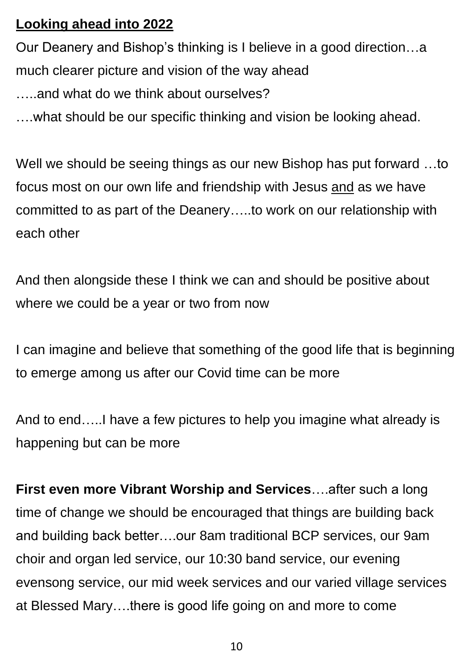## **Looking ahead into 2022**

Our Deanery and Bishop's thinking is I believe in a good direction…a much clearer picture and vision of the way ahead and what do we think about ourselves?

….what should be our specific thinking and vision be looking ahead.

Well we should be seeing things as our new Bishop has put forward …to focus most on our own life and friendship with Jesus and as we have committed to as part of the Deanery…..to work on our relationship with each other

And then alongside these I think we can and should be positive about where we could be a year or two from now

I can imagine and believe that something of the good life that is beginning to emerge among us after our Covid time can be more

And to end…..I have a few pictures to help you imagine what already is happening but can be more

**First even more Vibrant Worship and Services**….after such a long time of change we should be encouraged that things are building back and building back better….our 8am traditional BCP services, our 9am choir and organ led service, our 10:30 band service, our evening evensong service, our mid week services and our varied village services at Blessed Mary….there is good life going on and more to come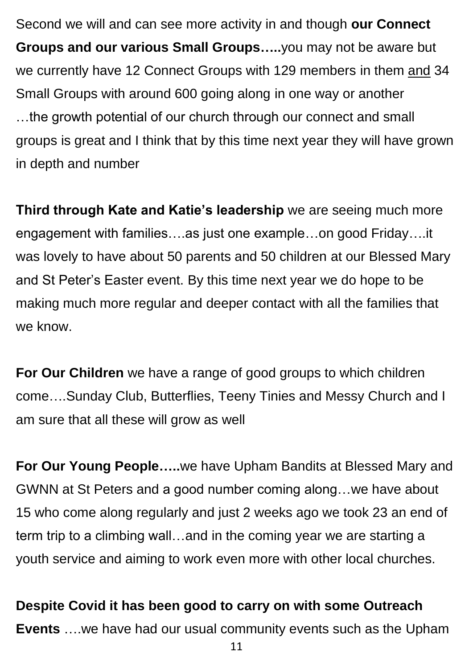Second we will and can see more activity in and though **our Connect Groups and our various Small Groups…..**you may not be aware but we currently have 12 Connect Groups with 129 members in them and 34 Small Groups with around 600 going along in one way or another …the growth potential of our church through our connect and small groups is great and I think that by this time next year they will have grown in depth and number

**Third through Kate and Katie's leadership** we are seeing much more engagement with families….as just one example…on good Friday….it was lovely to have about 50 parents and 50 children at our Blessed Mary and St Peter's Easter event. By this time next year we do hope to be making much more regular and deeper contact with all the families that we know.

**For Our Children** we have a range of good groups to which children come….Sunday Club, Butterflies, Teeny Tinies and Messy Church and I am sure that all these will grow as well

**For Our Young People…..**we have Upham Bandits at Blessed Mary and GWNN at St Peters and a good number coming along…we have about 15 who come along regularly and just 2 weeks ago we took 23 an end of term trip to a climbing wall…and in the coming year we are starting a youth service and aiming to work even more with other local churches.

**Despite Covid it has been good to carry on with some Outreach Events** ….we have had our usual community events such as the Upham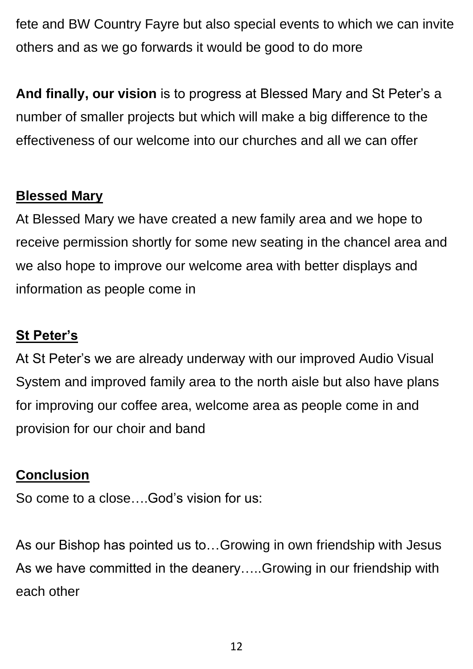fete and BW Country Fayre but also special events to which we can invite others and as we go forwards it would be good to do more

**And finally, our vision** is to progress at Blessed Mary and St Peter's a number of smaller projects but which will make a big difference to the effectiveness of our welcome into our churches and all we can offer

## **Blessed Mary**

At Blessed Mary we have created a new family area and we hope to receive permission shortly for some new seating in the chancel area and we also hope to improve our welcome area with better displays and information as people come in

## **St Peter's**

At St Peter's we are already underway with our improved Audio Visual System and improved family area to the north aisle but also have plans for improving our coffee area, welcome area as people come in and provision for our choir and band

## **Conclusion**

So come to a close….God's vision for us:

As our Bishop has pointed us to…Growing in own friendship with Jesus As we have committed in the deanery…..Growing in our friendship with each other